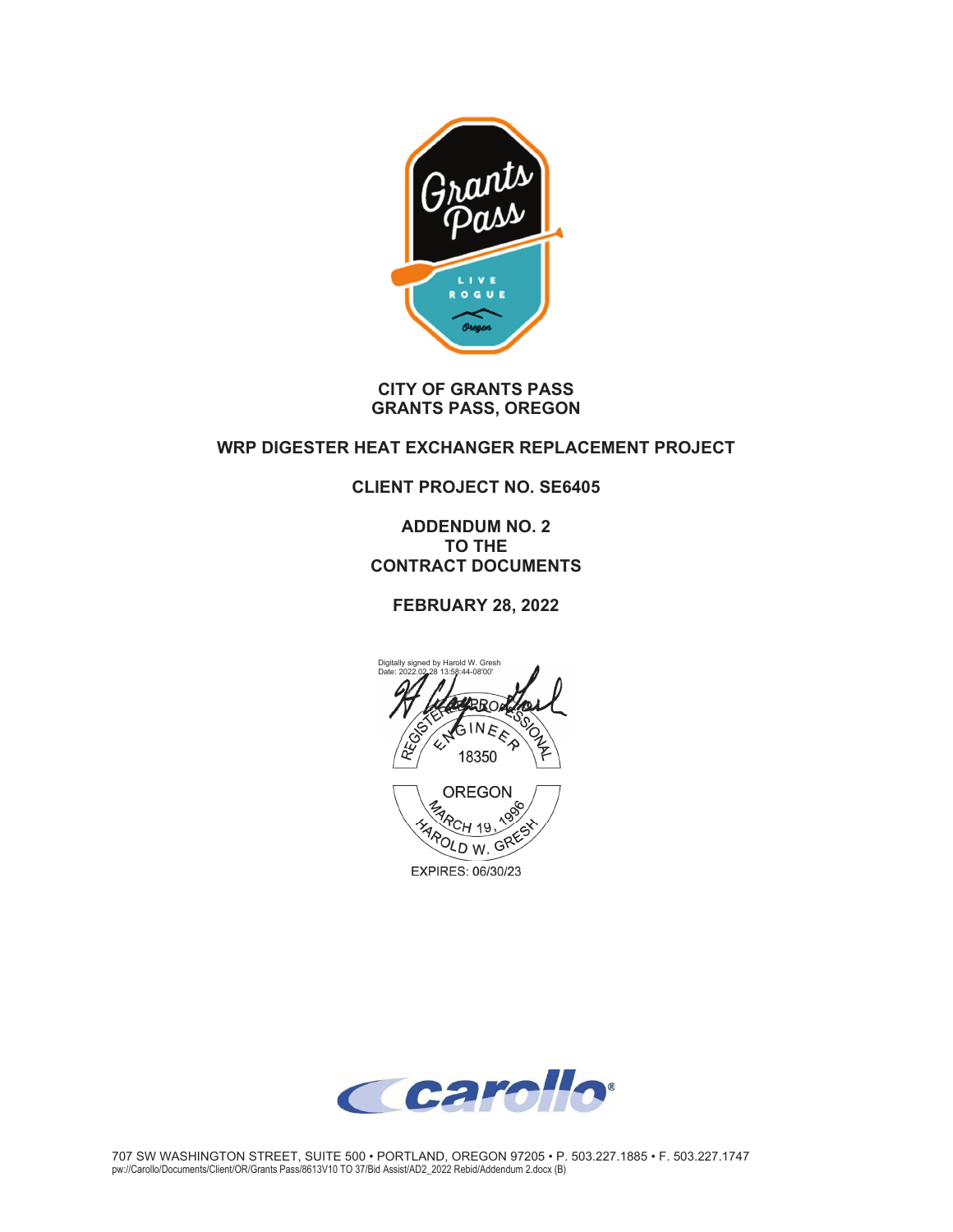

#### **CITY OF GRANTS PASS GRANTS PASS, OREGON**

## **WRP DIGESTER HEAT EXCHANGER REPLACEMENT PROJECT**

## **CLIENT PROJECT NO. SE6405**

**ADDENDUM NO. 2 TO THE CONTRACT DOCUMENTS** 

**FEBRUARY 28, 2022** 



EXPIRES: 06/30/23

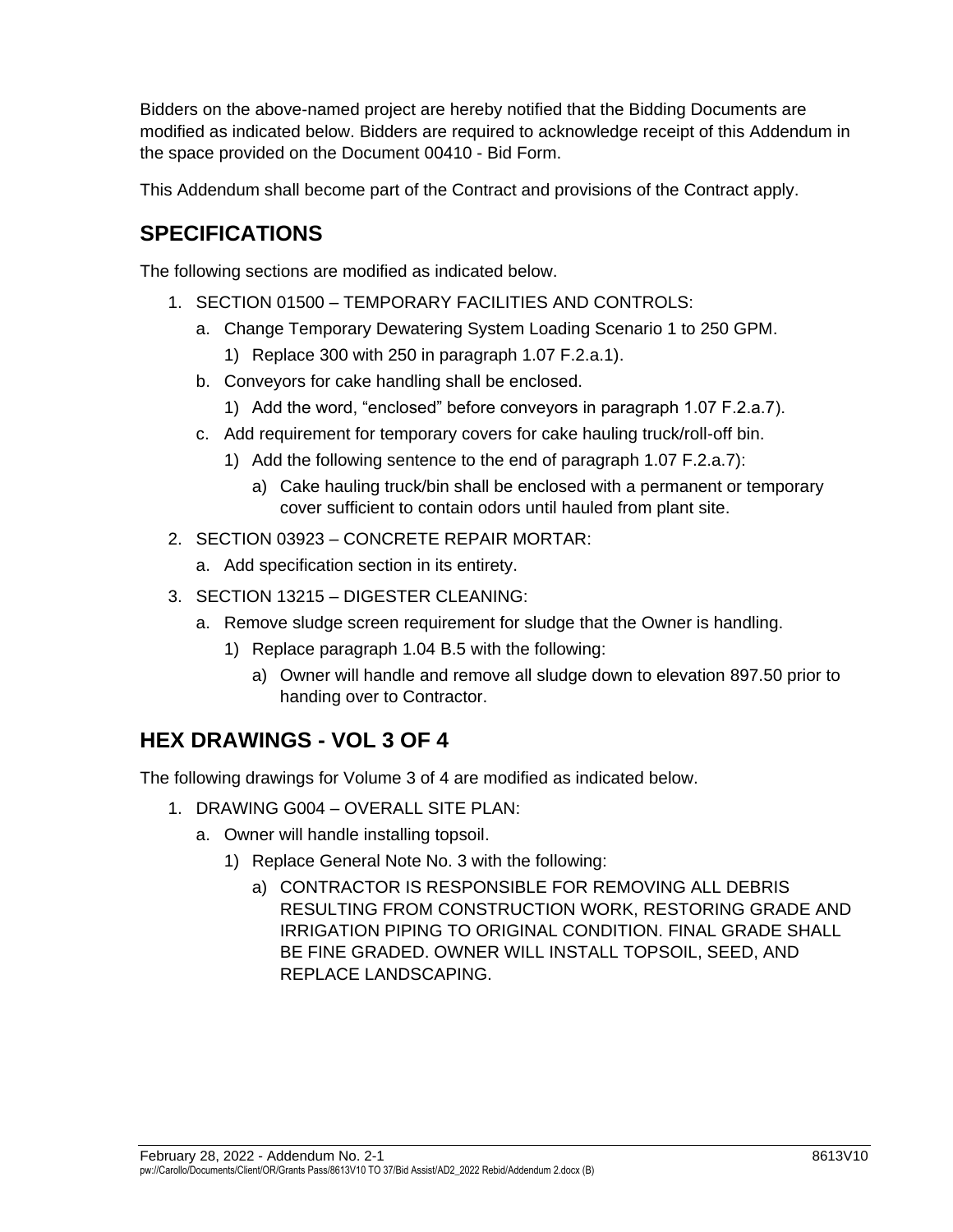Bidders on the above-named project are hereby notified that the Bidding Documents are modified as indicated below. Bidders are required to acknowledge receipt of this Addendum in the space provided on the Document 00410 - Bid Form.

This Addendum shall become part of the Contract and provisions of the Contract apply.

# **SPECIFICATIONS**

The following sections are modified as indicated below.

- 1. SECTION 01500 TEMPORARY FACILITIES AND CONTROLS:
	- a. Change Temporary Dewatering System Loading Scenario 1 to 250 GPM.
		- 1) Replace 300 with 250 in paragraph 1.07 F.2.a.1).
	- b. Conveyors for cake handling shall be enclosed.
		- 1) Add the word, "enclosed" before conveyors in paragraph 1.07 F.2.a.7).
	- c. Add requirement for temporary covers for cake hauling truck/roll-off bin.
		- 1) Add the following sentence to the end of paragraph 1.07 F.2.a.7):
			- a) Cake hauling truck/bin shall be enclosed with a permanent or temporary cover sufficient to contain odors until hauled from plant site.
- 2. SECTION 03923 CONCRETE REPAIR MORTAR:
	- a. Add specification section in its entirety.
- 3. SECTION 13215 DIGESTER CLEANING:
	- a. Remove sludge screen requirement for sludge that the Owner is handling.
		- 1) Replace paragraph 1.04 B.5 with the following:
			- a) Owner will handle and remove all sludge down to elevation 897.50 prior to handing over to Contractor.

# **HEX DRAWINGS - VOL 3 OF 4**

The following drawings for Volume 3 of 4 are modified as indicated below.

- 1. DRAWING G004 OVERALL SITE PLAN:
	- a. Owner will handle installing topsoil.
		- 1) Replace General Note No. 3 with the following:
			- a) CONTRACTOR IS RESPONSIBLE FOR REMOVING ALL DEBRIS RESULTING FROM CONSTRUCTION WORK, RESTORING GRADE AND IRRIGATION PIPING TO ORIGINAL CONDITION. FINAL GRADE SHALL BE FINE GRADED. OWNER WILL INSTALL TOPSOIL, SEED, AND REPLACE LANDSCAPING.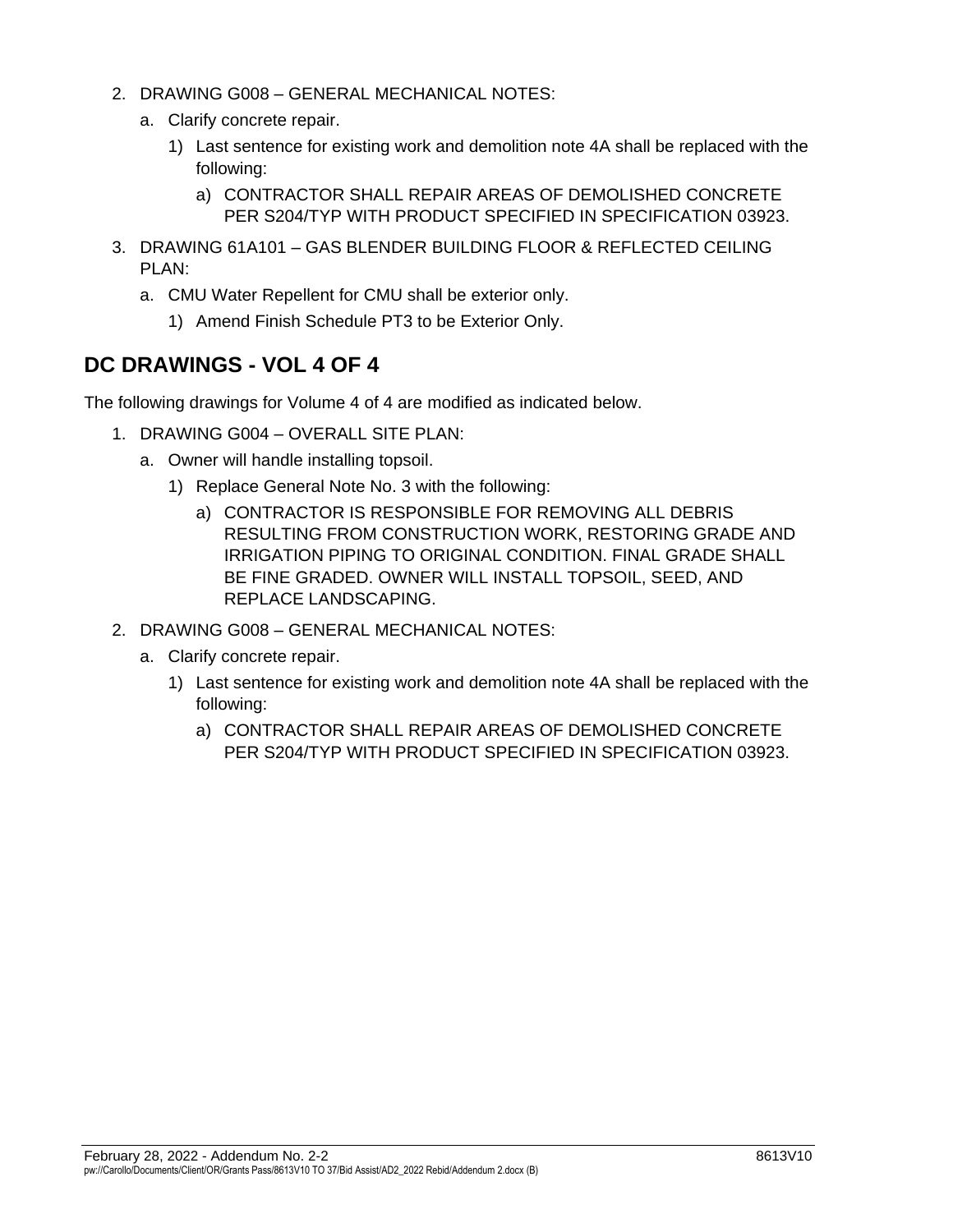- 2. DRAWING G008 GENERAL MECHANICAL NOTES:
	- a. Clarify concrete repair.
		- 1) Last sentence for existing work and demolition note 4A shall be replaced with the following:
			- a) CONTRACTOR SHALL REPAIR AREAS OF DEMOLISHED CONCRETE PER S204/TYP WITH PRODUCT SPECIFIED IN SPECIFICATION 03923.
- 3. DRAWING 61A101 GAS BLENDER BUILDING FLOOR & REFLECTED CEILING PLAN:
	- a. CMU Water Repellent for CMU shall be exterior only.
		- 1) Amend Finish Schedule PT3 to be Exterior Only.

## **DC DRAWINGS - VOL 4 OF 4**

The following drawings for Volume 4 of 4 are modified as indicated below.

- 1. DRAWING G004 OVERALL SITE PLAN:
	- a. Owner will handle installing topsoil.
		- 1) Replace General Note No. 3 with the following:
			- a) CONTRACTOR IS RESPONSIBLE FOR REMOVING ALL DEBRIS RESULTING FROM CONSTRUCTION WORK, RESTORING GRADE AND IRRIGATION PIPING TO ORIGINAL CONDITION. FINAL GRADE SHALL BE FINE GRADED. OWNER WILL INSTALL TOPSOIL, SEED, AND REPLACE LANDSCAPING.
- 2. DRAWING G008 GENERAL MECHANICAL NOTES:
	- a. Clarify concrete repair.
		- 1) Last sentence for existing work and demolition note 4A shall be replaced with the following:
			- a) CONTRACTOR SHALL REPAIR AREAS OF DEMOLISHED CONCRETE PER S204/TYP WITH PRODUCT SPECIFIED IN SPECIFICATION 03923.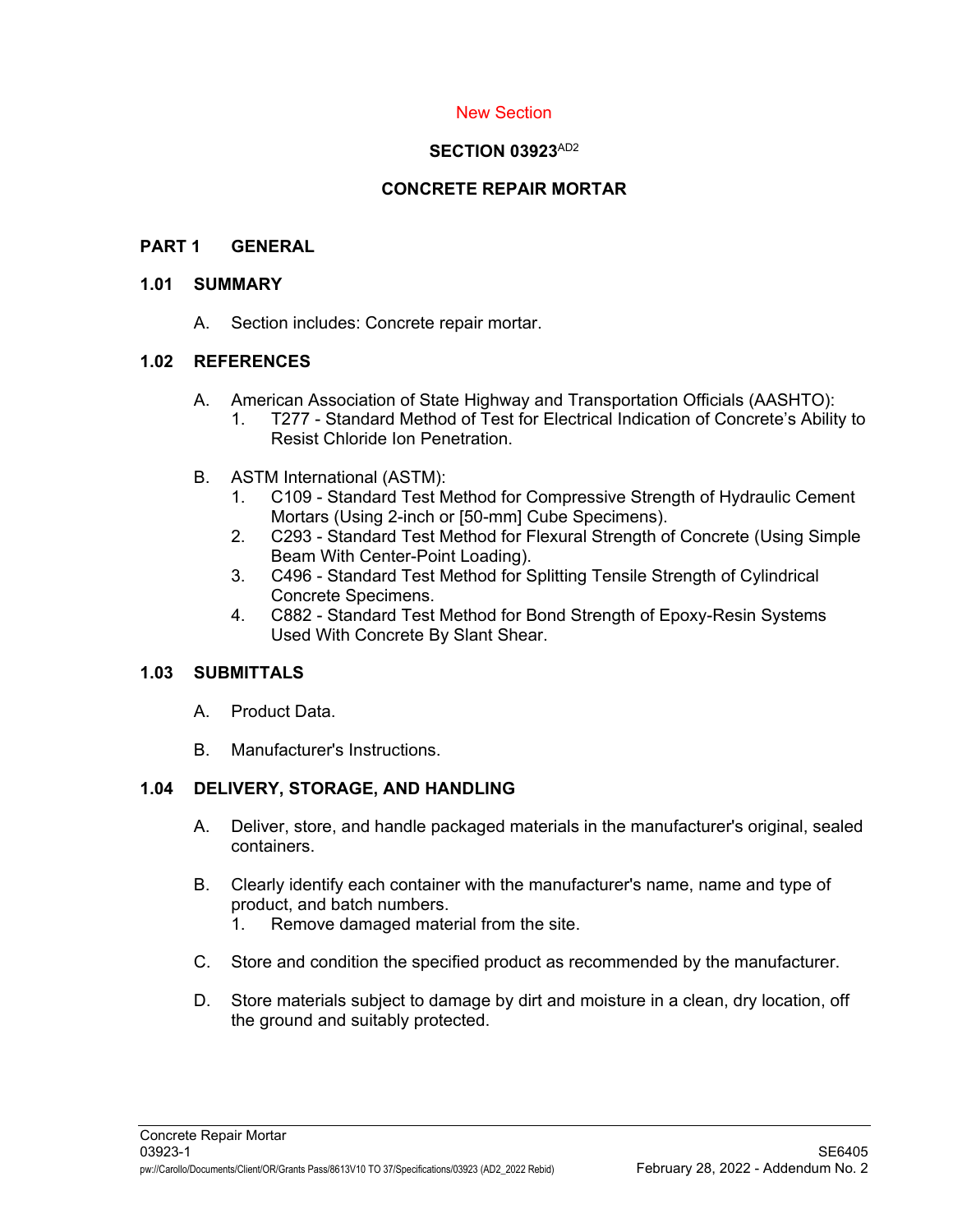### New Section

#### **SECTION 03923**AD2

## **CONCRETE REPAIR MORTAR**

#### **PART 1 GENERAL**

#### **1.01 SUMMARY**

A. Section includes: Concrete repair mortar.

### **1.02 REFERENCES**

- A. American Association of State Highway and Transportation Officials (AASHTO):
	- 1. T277 Standard Method of Test for Electrical Indication of Concrete's Ability to Resist Chloride Ion Penetration.
- B. ASTM International (ASTM):
	- 1. C109 Standard Test Method for Compressive Strength of Hydraulic Cement Mortars (Using 2-inch or [50-mm] Cube Specimens).
	- 2. C293 Standard Test Method for Flexural Strength of Concrete (Using Simple Beam With Center-Point Loading).
	- 3. C496 Standard Test Method for Splitting Tensile Strength of Cylindrical Concrete Specimens.
	- 4. C882 Standard Test Method for Bond Strength of Epoxy-Resin Systems Used With Concrete By Slant Shear.

#### **1.03 SUBMITTALS**

- A. Product Data.
- B. Manufacturer's Instructions.

## **1.04 DELIVERY, STORAGE, AND HANDLING**

- A. Deliver, store, and handle packaged materials in the manufacturer's original, sealed containers.
- B. Clearly identify each container with the manufacturer's name, name and type of product, and batch numbers.
	- 1. Remove damaged material from the site.
- C. Store and condition the specified product as recommended by the manufacturer.
- D. Store materials subject to damage by dirt and moisture in a clean, dry location, off the ground and suitably protected.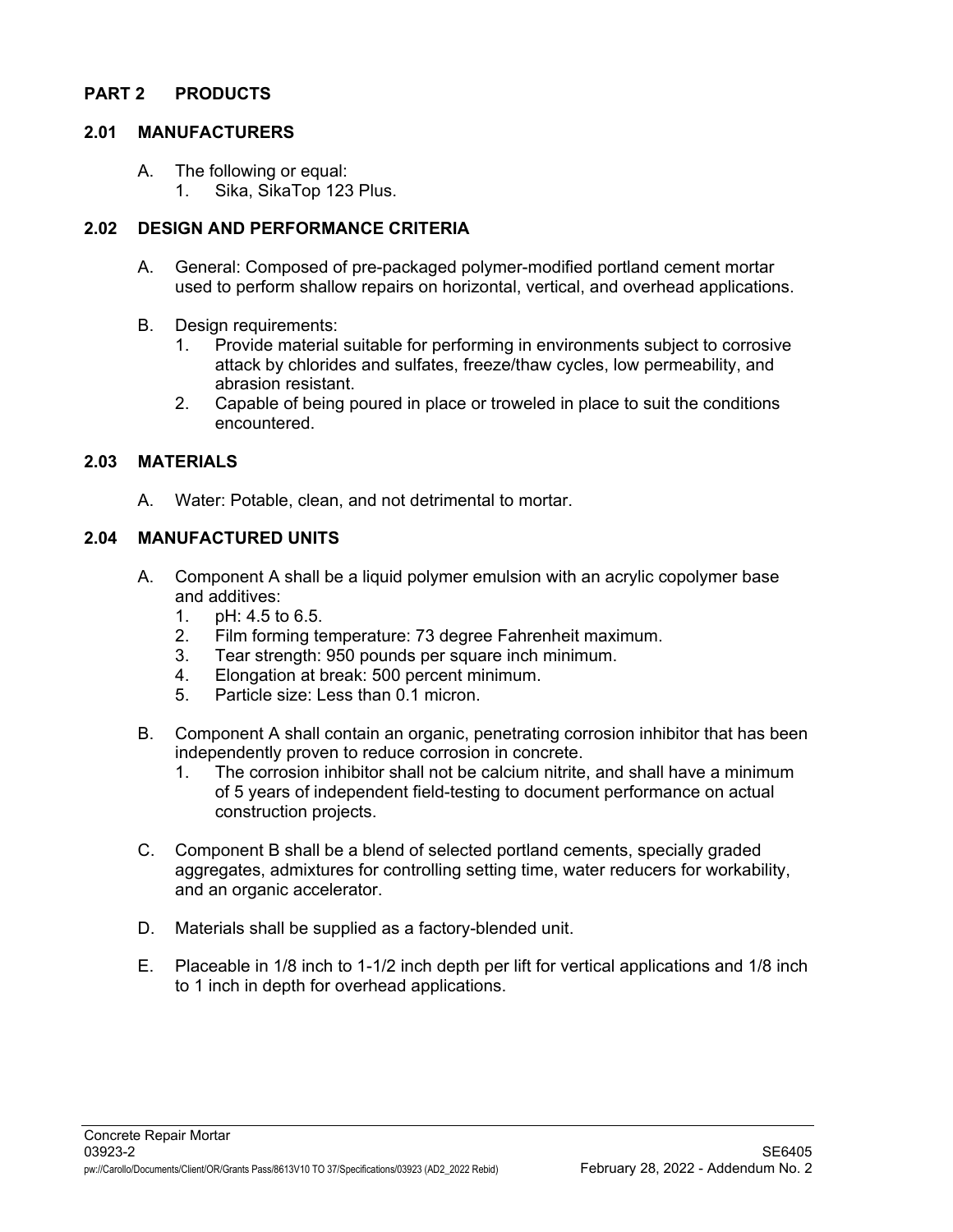#### **PART 2 PRODUCTS**

#### **2.01 MANUFACTURERS**

- A. The following or equal:
	- 1. Sika, SikaTop 123 Plus.

#### **2.02 DESIGN AND PERFORMANCE CRITERIA**

- A. General: Composed of pre-packaged polymer-modified portland cement mortar used to perform shallow repairs on horizontal, vertical, and overhead applications.
- B. Design requirements:
	- 1. Provide material suitable for performing in environments subject to corrosive attack by chlorides and sulfates, freeze/thaw cycles, low permeability, and abrasion resistant.
	- 2. Capable of being poured in place or troweled in place to suit the conditions encountered.

#### **2.03 MATERIALS**

A. Water: Potable, clean, and not detrimental to mortar.

#### **2.04 MANUFACTURED UNITS**

- A. Component A shall be a liquid polymer emulsion with an acrylic copolymer base and additives:
	- 1. pH: 4.5 to 6.5.
	- 2. Film forming temperature: 73 degree Fahrenheit maximum.
	- 3. Tear strength: 950 pounds per square inch minimum.
	- 4. Elongation at break: 500 percent minimum.
	- 5. Particle size: Less than 0.1 micron.
- B. Component A shall contain an organic, penetrating corrosion inhibitor that has been independently proven to reduce corrosion in concrete.
	- 1. The corrosion inhibitor shall not be calcium nitrite, and shall have a minimum of 5 years of independent field-testing to document performance on actual construction projects.
- C. Component B shall be a blend of selected portland cements, specially graded aggregates, admixtures for controlling setting time, water reducers for workability, and an organic accelerator.
- D. Materials shall be supplied as a factory-blended unit.
- E. Placeable in 1/8 inch to 1-1/2 inch depth per lift for vertical applications and 1/8 inch to 1 inch in depth for overhead applications.